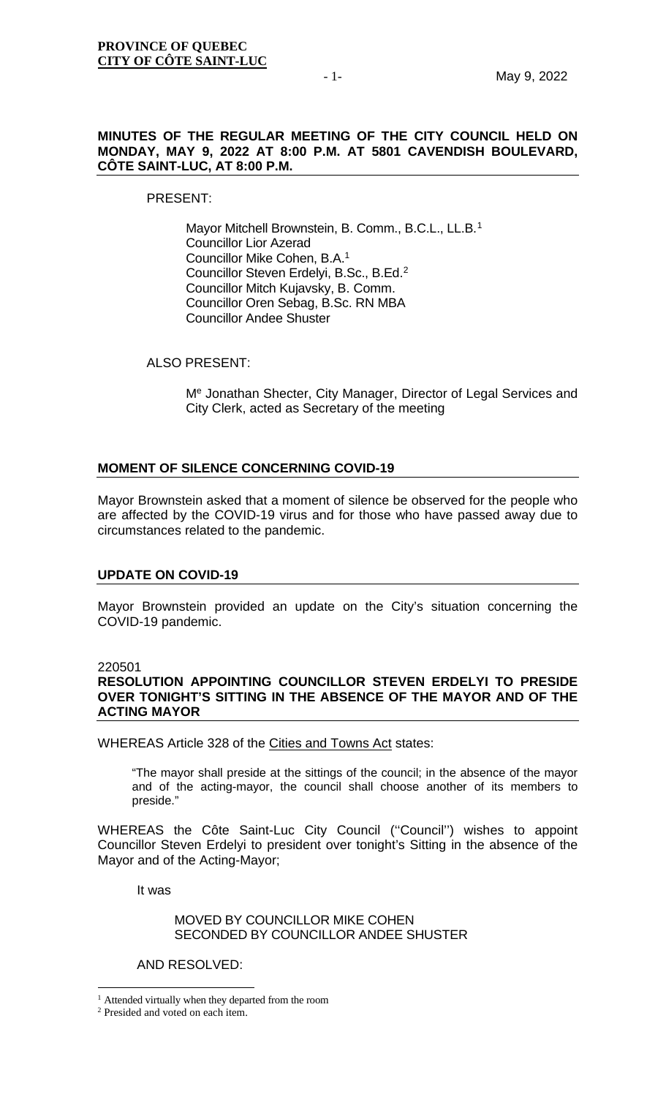# **MINUTES OF THE REGULAR MEETING OF THE CITY COUNCIL HELD ON MONDAY, MAY 9, 2022 AT 8:00 P.M. AT 5801 CAVENDISH BOULEVARD, CÔTE SAINT-LUC, AT 8:00 P.M.**

PRESENT:

Mayor Mitchell Brownstein, B. Comm., B.C.L., LL.B.<sup>[1](#page-0-0)</sup> Councillor Lior Azerad Councillor Mike Cohen, B.A.1 Councillor Steven Erdelyi, B.Sc., B.Ed.[2](#page-0-1) Councillor Mitch Kujavsky, B. Comm. Councillor Oren Sebag, B.Sc. RN MBA Councillor Andee Shuster

ALSO PRESENT:

Me Jonathan Shecter, City Manager, Director of Legal Services and City Clerk, acted as Secretary of the meeting

#### **MOMENT OF SILENCE CONCERNING COVID-19**

Mayor Brownstein asked that a moment of silence be observed for the people who are affected by the COVID-19 virus and for those who have passed away due to circumstances related to the pandemic.

# **UPDATE ON COVID-19**

Mayor Brownstein provided an update on the City's situation concerning the COVID-19 pandemic.

#### 220501

# **RESOLUTION APPOINTING COUNCILLOR STEVEN ERDELYI TO PRESIDE OVER TONIGHT'S SITTING IN THE ABSENCE OF THE MAYOR AND OF THE ACTING MAYOR**

WHEREAS Article [328 of the Cities and Towns Act](javascript:displayOtherLang(%22se:328%22);) states:

"The mayor shall preside at the sittings of the council; in the absence of the mayor and of the acting-mayor, the council shall choose another of its members to preside."

WHEREAS the Côte Saint-Luc City Council (''Council'') wishes to appoint Councillor Steven Erdelyi to president over tonight's Sitting in the absence of the Mayor and of the Acting-Mayor;

It was

# MOVED BY COUNCILLOR MIKE COHEN SECONDED BY COUNCILLOR ANDEE SHUSTER

#### AND RESOLVED:

<span id="page-0-0"></span><sup>1</sup> Attended virtually when they departed from the room

<span id="page-0-1"></span><sup>2</sup> Presided and voted on each item.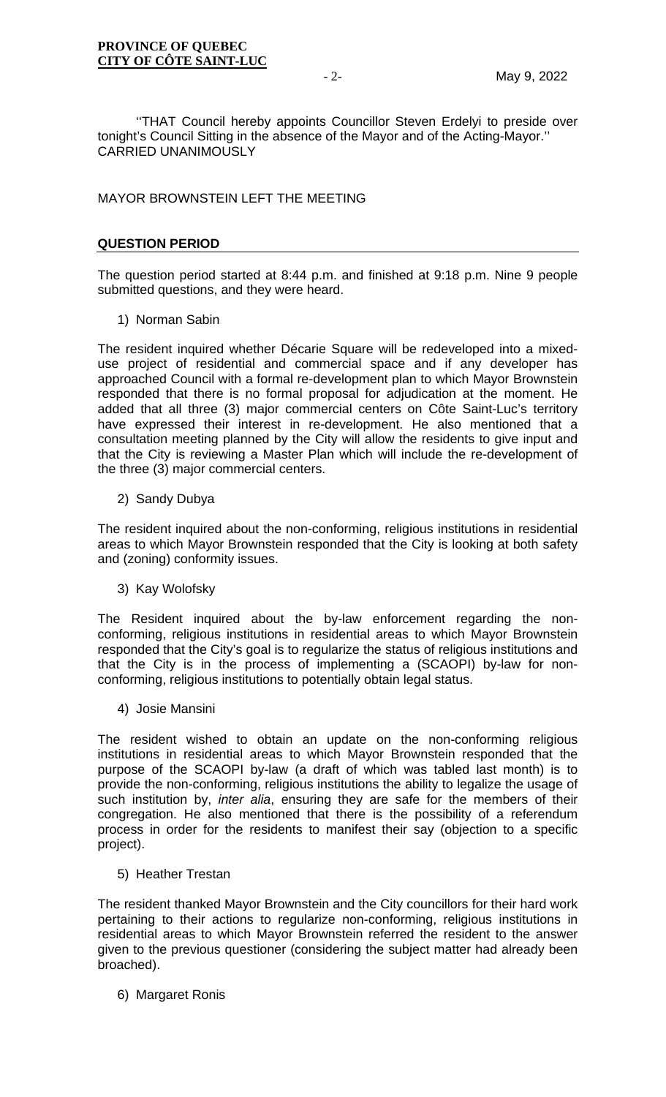''THAT Council hereby appoints Councillor Steven Erdelyi to preside over tonight's Council Sitting in the absence of the Mayor and of the Acting-Mayor.'' CARRIED UNANIMOUSLY

MAYOR BROWNSTEIN LEFT THE MEETING

# **QUESTION PERIOD**

The question period started at 8:44 p.m. and finished at 9:18 p.m. Nine 9 people submitted questions, and they were heard.

1) Norman Sabin

The resident inquired whether Décarie Square will be redeveloped into a mixeduse project of residential and commercial space and if any developer has approached Council with a formal re-development plan to which Mayor Brownstein responded that there is no formal proposal for adjudication at the moment. He added that all three (3) major commercial centers on Côte Saint-Luc's territory have expressed their interest in re-development. He also mentioned that a consultation meeting planned by the City will allow the residents to give input and that the City is reviewing a Master Plan which will include the re-development of the three (3) major commercial centers.

2) Sandy Dubya

The resident inquired about the non-conforming, religious institutions in residential areas to which Mayor Brownstein responded that the City is looking at both safety and (zoning) conformity issues.

3) Kay Wolofsky

The Resident inquired about the by-law enforcement regarding the nonconforming, religious institutions in residential areas to which Mayor Brownstein responded that the City's goal is to regularize the status of religious institutions and that the City is in the process of implementing a (SCAOPI) by-law for nonconforming, religious institutions to potentially obtain legal status.

4) Josie Mansini

The resident wished to obtain an update on the non-conforming religious institutions in residential areas to which Mayor Brownstein responded that the purpose of the SCAOPI by-law (a draft of which was tabled last month) is to provide the non-conforming, religious institutions the ability to legalize the usage of such institution by, *inter alia*, ensuring they are safe for the members of their congregation. He also mentioned that there is the possibility of a referendum process in order for the residents to manifest their say (objection to a specific project).

5) Heather Trestan

The resident thanked Mayor Brownstein and the City councillors for their hard work pertaining to their actions to regularize non-conforming, religious institutions in residential areas to which Mayor Brownstein referred the resident to the answer given to the previous questioner (considering the subject matter had already been broached).

6) Margaret Ronis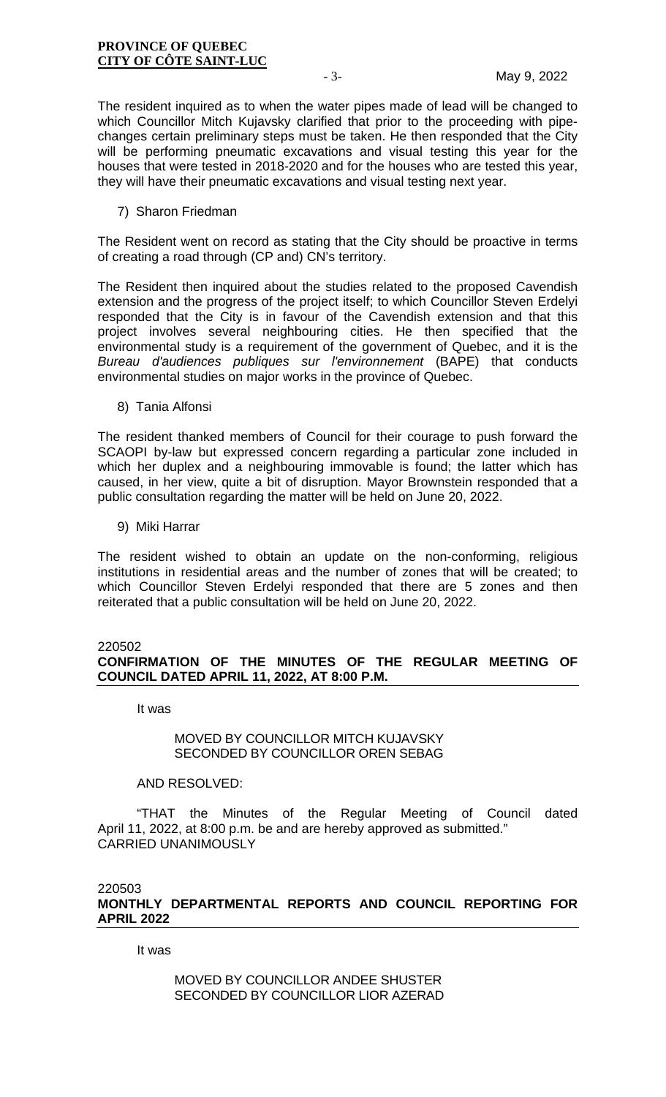The resident inquired as to when the water pipes made of lead will be changed to which Councillor Mitch Kujavsky clarified that prior to the proceeding with pipechanges certain preliminary steps must be taken. He then responded that the City will be performing pneumatic excavations and visual testing this year for the houses that were tested in 2018-2020 and for the houses who are tested this year, they will have their pneumatic excavations and visual testing next year.

7) Sharon Friedman

The Resident went on record as stating that the City should be proactive in terms of creating a road through (CP and) CN's territory.

The Resident then inquired about the studies related to the proposed Cavendish extension and the progress of the project itself; to which Councillor Steven Erdelyi responded that the City is in favour of the Cavendish extension and that this project involves several neighbouring cities. He then specified that the environmental study is a requirement of the government of Quebec, and it is the *Bureau d'audiences publiques sur l'environnement* (BAPE) that conducts environmental studies on major works in the province of Quebec.

8) Tania Alfonsi

The resident thanked members of Council for their courage to push forward the SCAOPI by-law but expressed concern regarding a particular zone included in which her duplex and a neighbouring immovable is found; the latter which has caused, in her view, quite a bit of disruption. Mayor Brownstein responded that a public consultation regarding the matter will be held on June 20, 2022.

9) Miki Harrar

The resident wished to obtain an update on the non-conforming, religious institutions in residential areas and the number of zones that will be created; to which Councillor Steven Erdelyi responded that there are 5 zones and then reiterated that a public consultation will be held on June 20, 2022.

#### 220502

# **CONFIRMATION OF THE MINUTES OF THE REGULAR MEETING OF COUNCIL DATED APRIL 11, 2022, AT 8:00 P.M.**

It was

# MOVED BY COUNCILLOR MITCH KUJAVSKY SECONDED BY COUNCILLOR OREN SEBAG

#### AND RESOLVED:

"THAT the Minutes of the Regular Meeting of Council dated April 11, 2022, at 8:00 p.m. be and are hereby approved as submitted." CARRIED UNANIMOUSLY

220503

**MONTHLY DEPARTMENTAL REPORTS AND COUNCIL REPORTING FOR APRIL 2022**

It was

MOVED BY COUNCILLOR ANDEE SHUSTER SECONDED BY COUNCILLOR LIOR AZERAD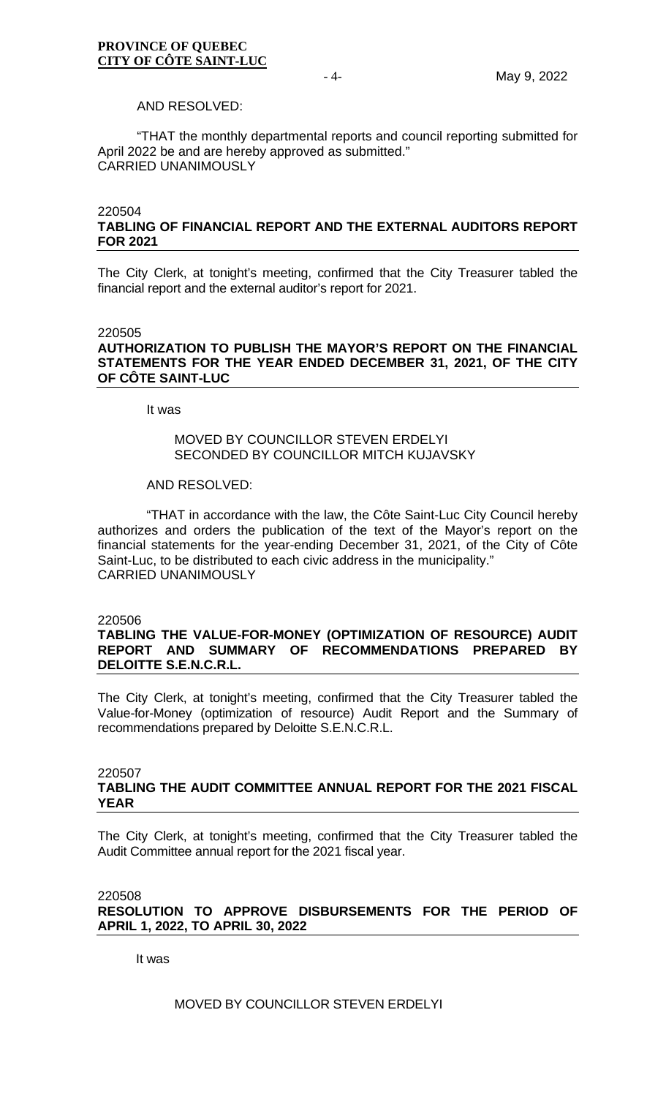#### AND RESOLVED:

"THAT the monthly departmental reports and council reporting submitted for April 2022 be and are hereby approved as submitted." CARRIED UNANIMOUSLY

#### 220504

# **TABLING OF FINANCIAL REPORT AND THE EXTERNAL AUDITORS REPORT FOR 2021**

The City Clerk, at tonight's meeting, confirmed that the City Treasurer tabled the financial report and the external auditor's report for 2021.

#### 220505

# **AUTHORIZATION TO PUBLISH THE MAYOR'S REPORT ON THE FINANCIAL STATEMENTS FOR THE YEAR ENDED DECEMBER 31, 2021, OF THE CITY OF CÔTE SAINT-LUC**

It was

# MOVED BY COUNCILLOR STEVEN ERDELYI SECONDED BY COUNCILLOR MITCH KUJAVSKY

#### AND RESOLVED:

"THAT in accordance with the law, the Côte Saint-Luc City Council hereby authorizes and orders the publication of the text of the Mayor's report on the financial statements for the year-ending December 31, 2021, of the City of Côte Saint-Luc, to be distributed to each civic address in the municipality." CARRIED UNANIMOUSLY

#### 220506

# **TABLING THE VALUE-FOR-MONEY (OPTIMIZATION OF RESOURCE) AUDIT REPORT AND SUMMARY OF RECOMMENDATIONS PREPARED BY DELOITTE S.E.N.C.R.L.**

The City Clerk, at tonight's meeting, confirmed that the City Treasurer tabled the Value-for-Money (optimization of resource) Audit Report and the Summary of recommendations prepared by Deloitte S.E.N.C.R.L.

#### 220507 **TABLING THE AUDIT COMMITTEE ANNUAL REPORT FOR THE 2021 FISCAL YEAR**

The City Clerk, at tonight's meeting, confirmed that the City Treasurer tabled the Audit Committee annual report for the 2021 fiscal year.

220508

**RESOLUTION TO APPROVE DISBURSEMENTS FOR THE PERIOD OF APRIL 1, 2022, TO APRIL 30, 2022**

It was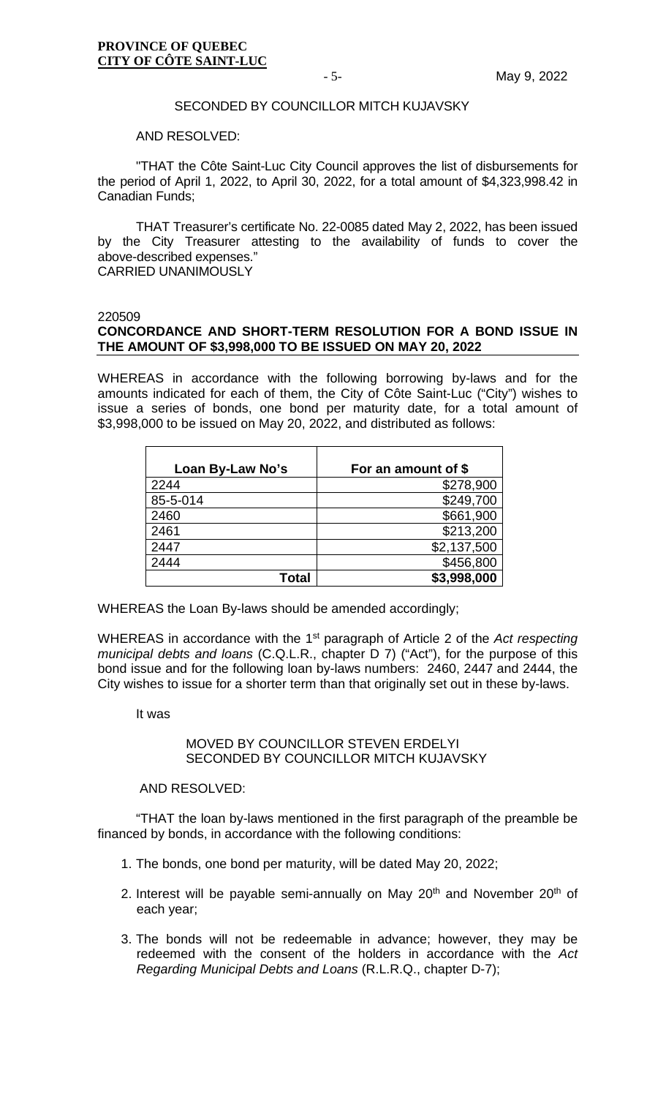#### SECONDED BY COUNCILLOR MITCH KUJAVSKY

#### AND RESOLVED:

"THAT the Côte Saint-Luc City Council approves the list of disbursements for the period of April 1, 2022, to April 30, 2022, for a total amount of \$4,323,998.42 in Canadian Funds;

THAT Treasurer's certificate No. 22-0085 dated May 2, 2022, has been issued by the City Treasurer attesting to the availability of funds to cover the above-described expenses."

CARRIED UNANIMOUSLY

#### 220509

# **CONCORDANCE AND SHORT-TERM RESOLUTION FOR A BOND ISSUE IN THE AMOUNT OF \$3,998,000 TO BE ISSUED ON MAY 20, 2022**

WHEREAS in accordance with the following borrowing by-laws and for the amounts indicated for each of them, the City of Côte Saint-Luc ("City") wishes to issue a series of bonds, one bond per maturity date, for a total amount of \$3,998,000 to be issued on May 20, 2022, and distributed as follows:

| Loan By-Law No's | For an amount of \$ |
|------------------|---------------------|
| 2244             | \$278,900           |
| 85-5-014         | \$249,700           |
| 2460             | \$661,900           |
| 2461             | \$213,200           |
| 2447             | \$2,137,500         |
| 2444             | \$456,800           |
| <b>Total</b>     | \$3,998,000         |

WHEREAS the Loan By-laws should be amended accordingly;

WHEREAS in accordance with the 1st paragraph of Article 2 of the *Act respecting municipal debts and loans* (C.Q.L.R., chapter D 7) ("Act"), for the purpose of this bond issue and for the following loan by-laws numbers: 2460, 2447 and 2444, the City wishes to issue for a shorter term than that originally set out in these by-laws.

It was

# MOVED BY COUNCILLOR STEVEN ERDELYI SECONDED BY COUNCILLOR MITCH KUJAVSKY

#### AND RESOLVED:

"THAT the loan by-laws mentioned in the first paragraph of the preamble be financed by bonds, in accordance with the following conditions:

- 1. The bonds, one bond per maturity, will be dated May 20, 2022;
- 2. Interest will be payable semi-annually on May 20<sup>th</sup> and November 20<sup>th</sup> of each year;
- 3. The bonds will not be redeemable in advance; however, they may be redeemed with the consent of the holders in accordance with the *Act Regarding Municipal Debts and Loans* (R.L.R.Q., chapter D-7);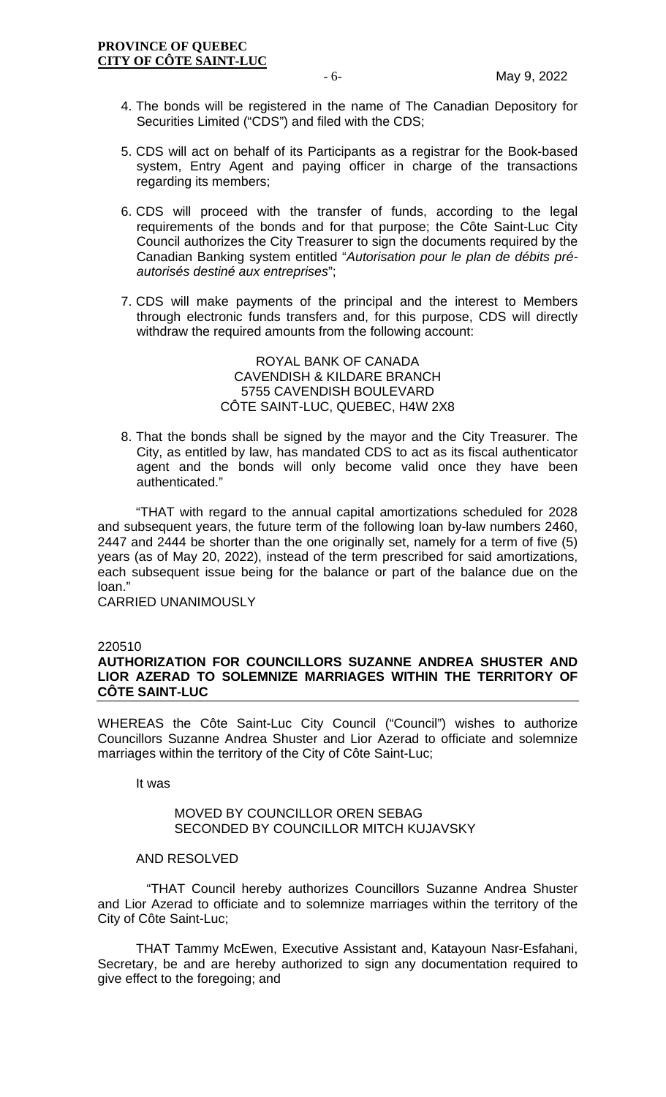- 4. The bonds will be registered in the name of The Canadian Depository for Securities Limited ("CDS") and filed with the CDS;
- 5. CDS will act on behalf of its Participants as a registrar for the Book-based system, Entry Agent and paying officer in charge of the transactions regarding its members;
- 6. CDS will proceed with the transfer of funds, according to the legal requirements of the bonds and for that purpose; the Côte Saint-Luc City Council authorizes the City Treasurer to sign the documents required by the Canadian Banking system entitled "*Autorisation pour le plan de débits préautorisés destiné aux entreprises*";
- 7. CDS will make payments of the principal and the interest to Members through electronic funds transfers and, for this purpose, CDS will directly withdraw the required amounts from the following account:

# ROYAL BANK OF CANADA CAVENDISH & KILDARE BRANCH 5755 CAVENDISH BOULEVARD CÔTE SAINT-LUC, QUEBEC, H4W 2X8

8. That the bonds shall be signed by the mayor and the City Treasurer. The City, as entitled by law, has mandated CDS to act as its fiscal authenticator agent and the bonds will only become valid once they have been authenticated."

"THAT with regard to the annual capital amortizations scheduled for 2028 and subsequent years, the future term of the following loan by-law numbers 2460, 2447 and 2444 be shorter than the one originally set, namely for a term of five (5) years (as of May 20, 2022), instead of the term prescribed for said amortizations, each subsequent issue being for the balance or part of the balance due on the loan."

CARRIED UNANIMOUSLY

#### 220510

# **AUTHORIZATION FOR COUNCILLORS SUZANNE ANDREA SHUSTER AND LIOR AZERAD TO SOLEMNIZE MARRIAGES WITHIN THE TERRITORY OF CÔTE SAINT-LUC**

WHEREAS the Côte Saint-Luc City Council ("Council") wishes to authorize Councillors Suzanne Andrea Shuster and Lior Azerad to officiate and solemnize marriages within the territory of the City of Côte Saint-Luc;

It was

# MOVED BY COUNCILLOR OREN SEBAG SECONDED BY COUNCILLOR MITCH KUJAVSKY

### AND RESOLVED

"THAT Council hereby authorizes Councillors Suzanne Andrea Shuster and Lior Azerad to officiate and to solemnize marriages within the territory of the City of Côte Saint-Luc;

THAT Tammy McEwen, Executive Assistant and, Katayoun Nasr-Esfahani, Secretary, be and are hereby authorized to sign any documentation required to give effect to the foregoing; and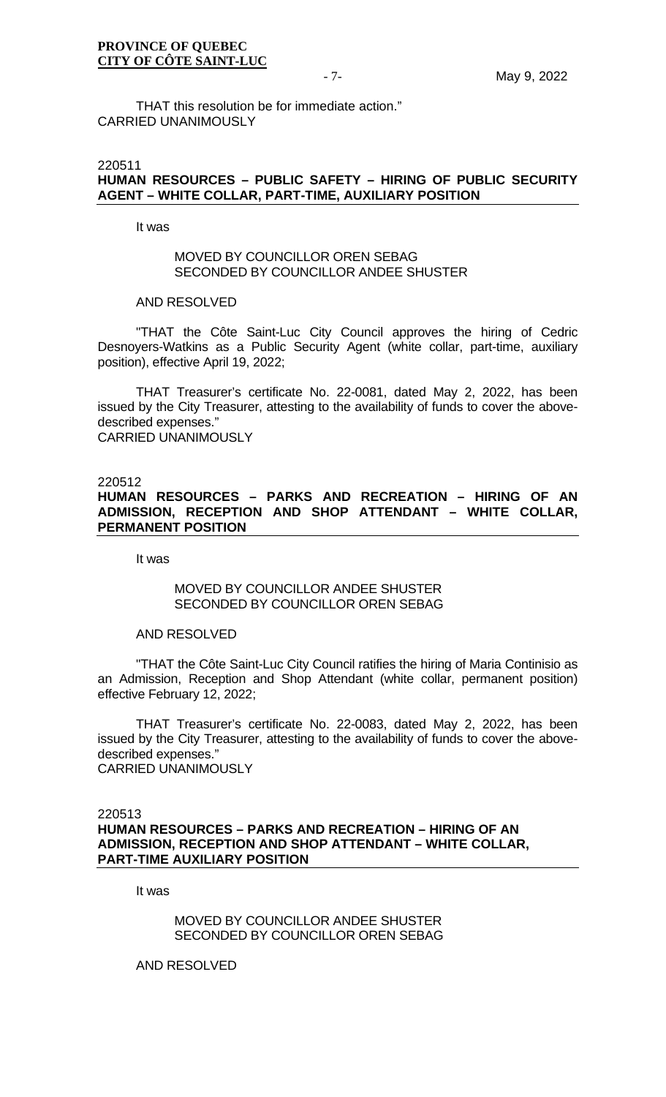THAT this resolution be for immediate action." CARRIED UNANIMOUSLY

#### 220511 **HUMAN RESOURCES – PUBLIC SAFETY – HIRING OF PUBLIC SECURITY AGENT – WHITE COLLAR, PART-TIME, AUXILIARY POSITION**

It was

#### MOVED BY COUNCILLOR OREN SEBAG SECONDED BY COUNCILLOR ANDEE SHUSTER

#### AND RESOLVED

"THAT the Côte Saint-Luc City Council approves the hiring of Cedric Desnoyers-Watkins as a Public Security Agent (white collar, part-time, auxiliary position), effective April 19, 2022;

THAT Treasurer's certificate No. 22-0081, dated May 2, 2022, has been issued by the City Treasurer, attesting to the availability of funds to cover the abovedescribed expenses." CARRIED UNANIMOUSLY

#### 220512

**HUMAN RESOURCES – PARKS AND RECREATION – HIRING OF AN ADMISSION, RECEPTION AND SHOP ATTENDANT – WHITE COLLAR, PERMANENT POSITION**

It was

### MOVED BY COUNCILLOR ANDEE SHUSTER SECONDED BY COUNCILLOR OREN SEBAG

#### AND RESOLVED

"THAT the Côte Saint-Luc City Council ratifies the hiring of Maria Continisio as an Admission, Reception and Shop Attendant (white collar, permanent position) effective February 12, 2022;

THAT Treasurer's certificate No. 22-0083, dated May 2, 2022, has been issued by the City Treasurer, attesting to the availability of funds to cover the abovedescribed expenses." CARRIED UNANIMOUSLY

### 220513 **HUMAN RESOURCES – PARKS AND RECREATION – HIRING OF AN ADMISSION, RECEPTION AND SHOP ATTENDANT – WHITE COLLAR, PART-TIME AUXILIARY POSITION**

It was

MOVED BY COUNCILLOR ANDEE SHUSTER SECONDED BY COUNCILLOR OREN SEBAG

AND RESOLVED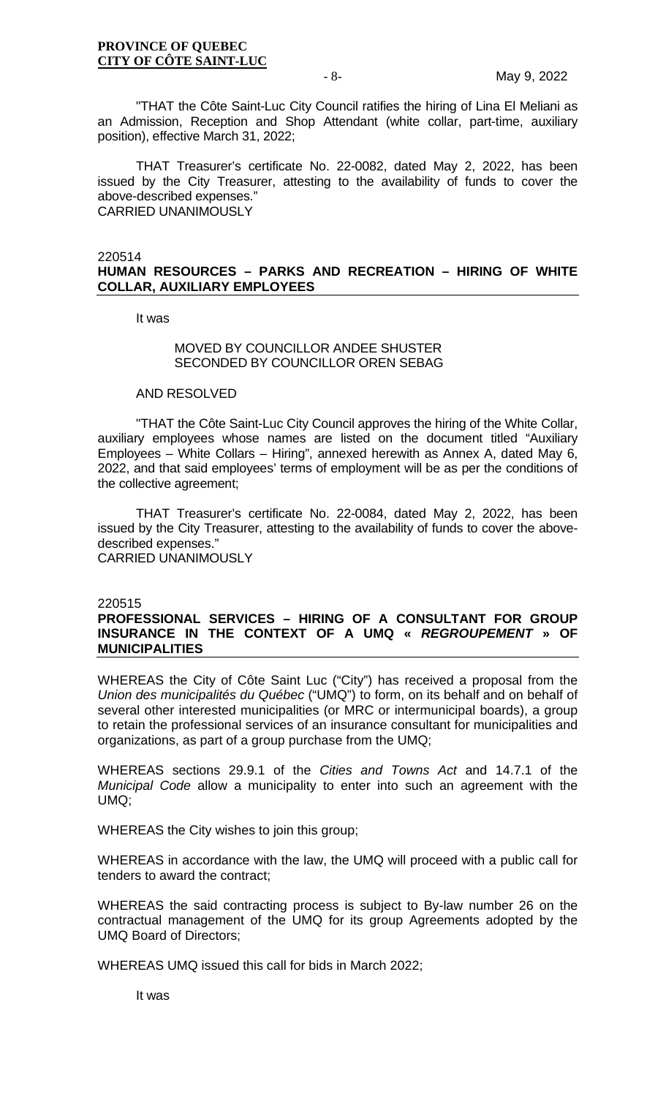"THAT the Côte Saint-Luc City Council ratifies the hiring of Lina El Meliani as an Admission, Reception and Shop Attendant (white collar, part-time, auxiliary position), effective March 31, 2022;

THAT Treasurer's certificate No. 22-0082, dated May 2, 2022, has been issued by the City Treasurer, attesting to the availability of funds to cover the above-described expenses." CARRIED UNANIMOUSLY

220514

# **HUMAN RESOURCES – PARKS AND RECREATION – HIRING OF WHITE COLLAR, AUXILIARY EMPLOYEES**

It was

# MOVED BY COUNCILLOR ANDEE SHUSTER SECONDED BY COUNCILLOR OREN SEBAG

#### AND RESOLVED

"THAT the Côte Saint-Luc City Council approves the hiring of the White Collar, auxiliary employees whose names are listed on the document titled "Auxiliary Employees – White Collars – Hiring", annexed herewith as Annex A, dated May 6, 2022, and that said employees' terms of employment will be as per the conditions of the collective agreement;

THAT Treasurer's certificate No. 22-0084, dated May 2, 2022, has been issued by the City Treasurer, attesting to the availability of funds to cover the abovedescribed expenses." CARRIED UNANIMOUSLY

220515

# **PROFESSIONAL SERVICES – HIRING OF A CONSULTANT FOR GROUP INSURANCE IN THE CONTEXT OF A UMQ «** *REGROUPEMENT* **» OF MUNICIPALITIES**

WHEREAS the City of Côte Saint Luc ("City") has received a proposal from the *Union des municipalités du Québec* ("UMQ") to form, on its behalf and on behalf of several other interested municipalities (or MRC or intermunicipal boards), a group to retain the professional services of an insurance consultant for municipalities and organizations, as part of a group purchase from the UMQ;

WHEREAS sections 29.9.1 of the *Cities and Towns Act* and 14.7.1 of the *Municipal Code* allow a municipality to enter into such an agreement with the UMQ;

WHEREAS the City wishes to join this group;

WHEREAS in accordance with the law, the UMQ will proceed with a public call for tenders to award the contract;

WHEREAS the said contracting process is subject to By-law number 26 on the contractual management of the UMQ for its group Agreements adopted by the UMQ Board of Directors;

WHEREAS UMQ issued this call for bids in March 2022;

It was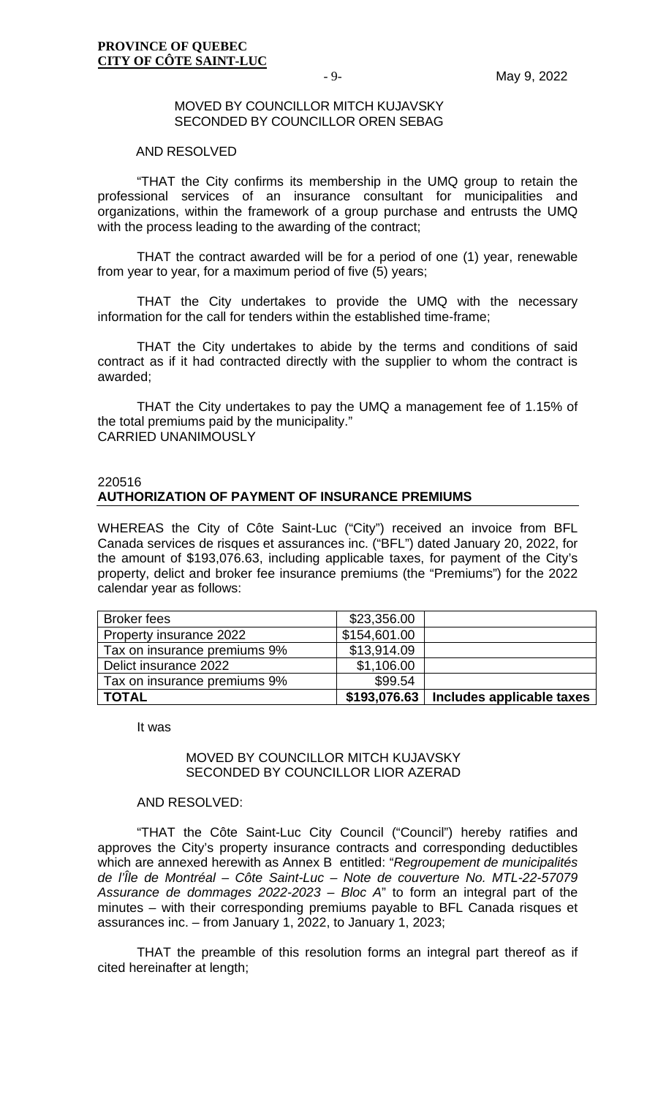#### MOVED BY COUNCILLOR MITCH KUJAVSKY SECONDED BY COUNCILLOR OREN SEBAG

#### AND RESOLVED

"THAT the City confirms its membership in the UMQ group to retain the professional services of an insurance consultant for municipalities and organizations, within the framework of a group purchase and entrusts the UMQ with the process leading to the awarding of the contract;

THAT the contract awarded will be for a period of one (1) year, renewable from year to year, for a maximum period of five (5) years;

THAT the City undertakes to provide the UMQ with the necessary information for the call for tenders within the established time-frame;

THAT the City undertakes to abide by the terms and conditions of said contract as if it had contracted directly with the supplier to whom the contract is awarded;

THAT the City undertakes to pay the UMQ a management fee of 1.15% of the total premiums paid by the municipality." CARRIED UNANIMOUSLY

#### 220516

# **AUTHORIZATION OF PAYMENT OF INSURANCE PREMIUMS**

WHEREAS the City of Côte Saint-Luc ("City") received an invoice from BFL Canada services de risques et assurances inc. ("BFL") dated January 20, 2022, for the amount of \$193,076.63, including applicable taxes, for payment of the City's property, delict and broker fee insurance premiums (the "Premiums") for the 2022 calendar year as follows:

| <b>Broker fees</b>           | \$23,356.00  |                           |
|------------------------------|--------------|---------------------------|
| Property insurance 2022      | \$154,601.00 |                           |
| Tax on insurance premiums 9% | \$13,914.09  |                           |
| Delict insurance 2022        | \$1,106.00   |                           |
| Tax on insurance premiums 9% | \$99.54      |                           |
| <b>TOTAL</b>                 | \$193,076.63 | Includes applicable taxes |

It was

#### MOVED BY COUNCILLOR MITCH KUJAVSKY SECONDED BY COUNCILLOR LIOR AZERAD

### AND RESOLVED:

"THAT the Côte Saint-Luc City Council ("Council") hereby ratifies and approves the City's property insurance contracts and corresponding deductibles which are annexed herewith as Annex B entitled: "*Regroupement de municipalités de l'Île de Montréal – Côte Saint-Luc – Note de couverture No. MTL-22-57079 Assurance de dommages 2022-2023 – Bloc A*" to form an integral part of the minutes – with their corresponding premiums payable to BFL Canada risques et assurances inc. – from January 1, 2022, to January 1, 2023;

THAT the preamble of this resolution forms an integral part thereof as if cited hereinafter at length;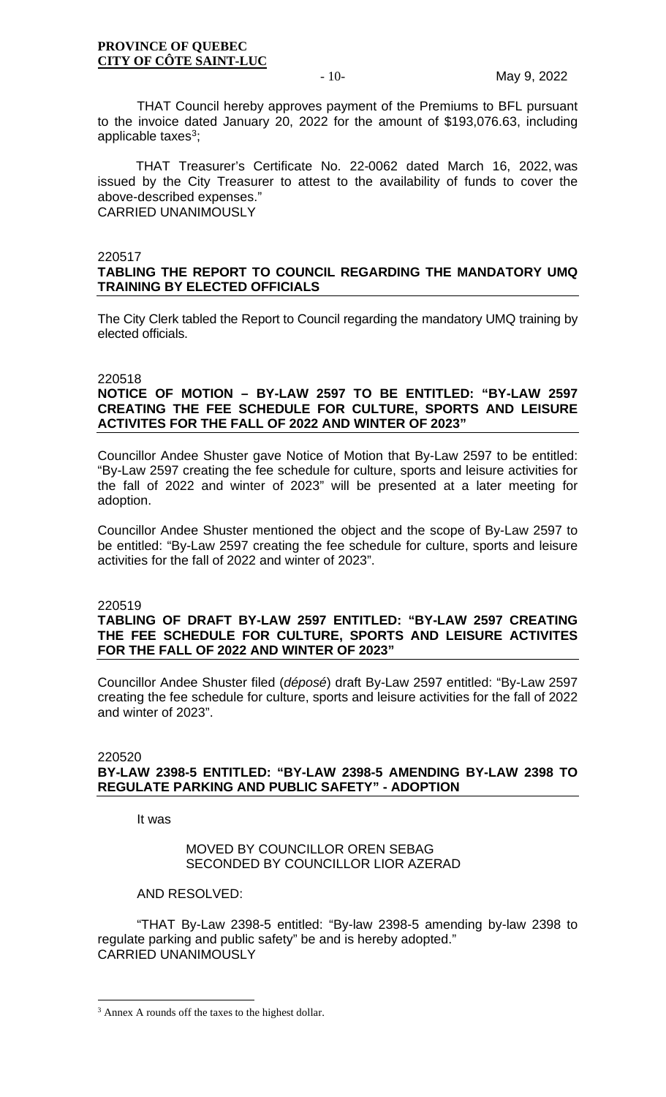THAT Council hereby approves payment of the Premiums to BFL pursuant to the invoice dated January 20, 2022 for the amount of \$193,076.63, including applicable taxes $3$ ;

THAT Treasurer's Certificate No. 22-0062 dated March 16, 2022, was issued by the City Treasurer to attest to the availability of funds to cover the above-described expenses." CARRIED UNANIMOUSLY

#### 220517

# **TABLING THE REPORT TO COUNCIL REGARDING THE MANDATORY UMQ TRAINING BY ELECTED OFFICIALS**

The City Clerk tabled the Report to Council regarding the mandatory UMQ training by elected officials.

#### 220518

# **NOTICE OF MOTION – BY-LAW 2597 TO BE ENTITLED: "BY-LAW 2597 CREATING THE FEE SCHEDULE FOR CULTURE, SPORTS AND LEISURE ACTIVITES FOR THE FALL OF 2022 AND WINTER OF 2023"**

Councillor Andee Shuster gave Notice of Motion that By-Law 2597 to be entitled: "By-Law 2597 creating the fee schedule for culture, sports and leisure activities for the fall of 2022 and winter of 2023" will be presented at a later meeting for adoption.

Councillor Andee Shuster mentioned the object and the scope of By-Law 2597 to be entitled: "By-Law 2597 creating the fee schedule for culture, sports and leisure activities for the fall of 2022 and winter of 2023".

#### 220519

### **TABLING OF DRAFT BY-LAW 2597 ENTITLED: "BY-LAW 2597 CREATING THE FEE SCHEDULE FOR CULTURE, SPORTS AND LEISURE ACTIVITES FOR THE FALL OF 2022 AND WINTER OF 2023"**

Councillor Andee Shuster filed (*déposé*) draft By-Law 2597 entitled: "By-Law 2597 creating the fee schedule for culture, sports and leisure activities for the fall of 2022 and winter of 2023".

#### 220520

# **BY-LAW 2398-5 ENTITLED: "BY-LAW 2398-5 AMENDING BY-LAW 2398 TO REGULATE PARKING AND PUBLIC SAFETY" - ADOPTION**

It was

# MOVED BY COUNCILLOR OREN SEBAG SECONDED BY COUNCILLOR LIOR AZERAD

AND RESOLVED:

"THAT By-Law 2398-5 entitled: "By-law 2398-5 amending by-law 2398 to regulate parking and public safety" be and is hereby adopted." CARRIED UNANIMOUSLY

<span id="page-9-0"></span><sup>3</sup> Annex A rounds off the taxes to the highest dollar.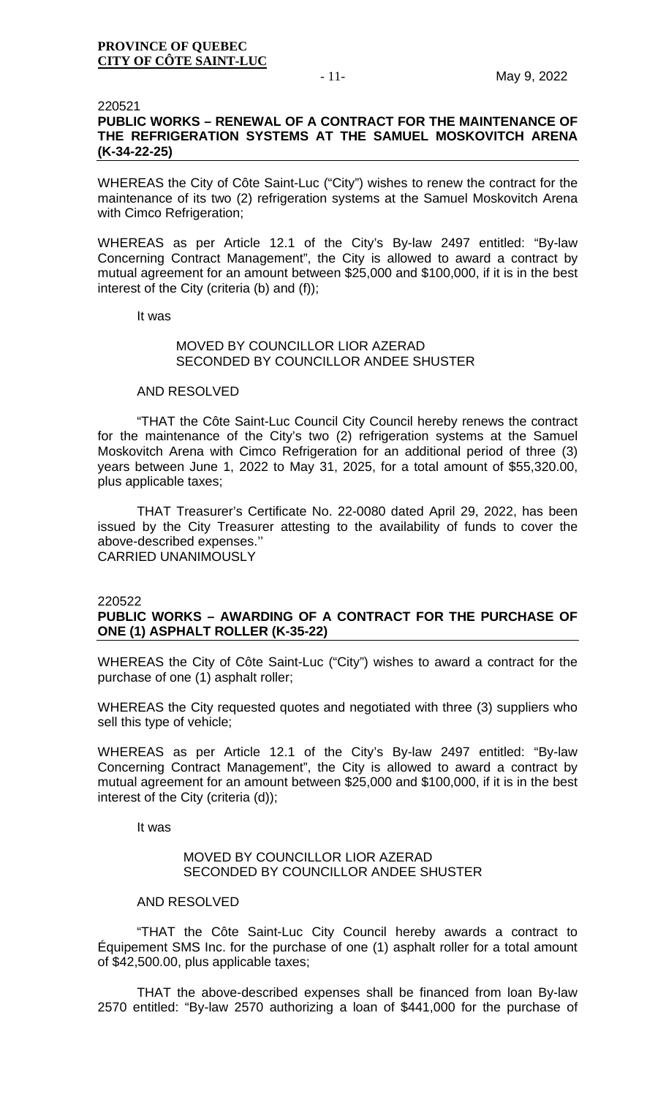### 220521 **PUBLIC WORKS – RENEWAL OF A CONTRACT FOR THE MAINTENANCE OF THE REFRIGERATION SYSTEMS AT THE SAMUEL MOSKOVITCH ARENA (K-34-22-25)**

WHEREAS the City of Côte Saint-Luc ("City") wishes to renew the contract for the maintenance of its two (2) refrigeration systems at the Samuel Moskovitch Arena with Cimco Refrigeration;

WHEREAS as per Article 12.1 of the City's By-law 2497 entitled: "By-law Concerning Contract Management", the City is allowed to award a contract by mutual agreement for an amount between \$25,000 and \$100,000, if it is in the best interest of the City (criteria (b) and (f));

It was

# MOVED BY COUNCILLOR LIOR AZERAD SECONDED BY COUNCILLOR ANDEE SHUSTER

#### AND RESOLVED

"THAT the Côte Saint-Luc Council City Council hereby renews the contract for the maintenance of the City's two (2) refrigeration systems at the Samuel Moskovitch Arena with Cimco Refrigeration for an additional period of three (3) years between June 1, 2022 to May 31, 2025, for a total amount of \$55,320.00, plus applicable taxes;

THAT Treasurer's Certificate No. 22-0080 dated April 29, 2022, has been issued by the City Treasurer attesting to the availability of funds to cover the above-described expenses.'' CARRIED UNANIMOUSLY

220522

# **PUBLIC WORKS – AWARDING OF A CONTRACT FOR THE PURCHASE OF ONE (1) ASPHALT ROLLER (K-35-22)**

WHEREAS the City of Côte Saint-Luc ("City") wishes to award a contract for the purchase of one (1) asphalt roller;

WHEREAS the City requested quotes and negotiated with three (3) suppliers who sell this type of vehicle;

WHEREAS as per Article 12.1 of the City's By-law 2497 entitled: "By-law Concerning Contract Management", the City is allowed to award a contract by mutual agreement for an amount between \$25,000 and \$100,000, if it is in the best interest of the City (criteria (d));

It was

# MOVED BY COUNCILLOR LIOR AZERAD SECONDED BY COUNCILLOR ANDEE SHUSTER

#### AND RESOLVED

"THAT the Côte Saint-Luc City Council hereby awards a contract to Équipement SMS Inc. for the purchase of one (1) asphalt roller for a total amount of \$42,500.00, plus applicable taxes;

THAT the above-described expenses shall be financed from loan By-law 2570 entitled: "By-law 2570 authorizing a loan of \$441,000 for the purchase of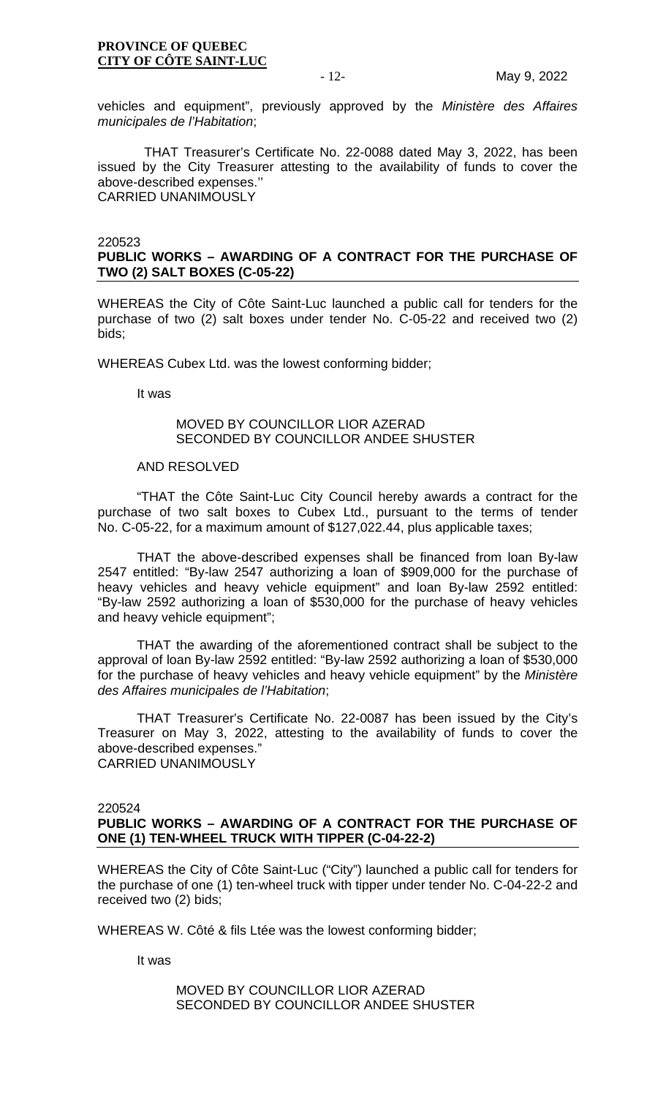vehicles and equipment", previously approved by the *Ministère des Affaires municipales de l'Habitation*;

THAT Treasurer's Certificate No. 22-0088 dated May 3, 2022, has been issued by the City Treasurer attesting to the availability of funds to cover the above-described expenses.'' CARRIED UNANIMOUSLY

#### 220523

# **PUBLIC WORKS – AWARDING OF A CONTRACT FOR THE PURCHASE OF TWO (2) SALT BOXES (C-05-22)**

WHEREAS the City of Côte Saint-Luc launched a public call for tenders for the purchase of two (2) salt boxes under tender No. C-05-22 and received two (2) bids;

WHEREAS Cubex Ltd. was the lowest conforming bidder;

It was

# MOVED BY COUNCILLOR LIOR AZERAD SECONDED BY COUNCILLOR ANDEE SHUSTER

#### AND RESOLVED

"THAT the Côte Saint-Luc City Council hereby awards a contract for the purchase of two salt boxes to Cubex Ltd., pursuant to the terms of tender No. C-05-22, for a maximum amount of \$127,022.44, plus applicable taxes;

THAT the above-described expenses shall be financed from loan By-law 2547 entitled: "By-law 2547 authorizing a loan of \$909,000 for the purchase of heavy vehicles and heavy vehicle equipment" and loan By-law 2592 entitled: "By-law 2592 authorizing a loan of \$530,000 for the purchase of heavy vehicles and heavy vehicle equipment";

THAT the awarding of the aforementioned contract shall be subject to the approval of loan By-law 2592 entitled: "By-law 2592 authorizing a loan of \$530,000 for the purchase of heavy vehicles and heavy vehicle equipment" by the *Ministère des Affaires municipales de l'Habitation*;

THAT Treasurer's Certificate No. 22-0087 has been issued by the City's Treasurer on May 3, 2022, attesting to the availability of funds to cover the above-described expenses." CARRIED UNANIMOUSLY

220524

# **PUBLIC WORKS – AWARDING OF A CONTRACT FOR THE PURCHASE OF ONE (1) TEN-WHEEL TRUCK WITH TIPPER (C-04-22-2)**

WHEREAS the City of Côte Saint-Luc ("City") launched a public call for tenders for the purchase of one (1) ten-wheel truck with tipper under tender No. C-04-22-2 and received two (2) bids;

WHEREAS W. Côté & fils Ltée was the lowest conforming bidder;

It was

#### MOVED BY COUNCILLOR LIOR AZERAD SECONDED BY COUNCILLOR ANDEE SHUSTER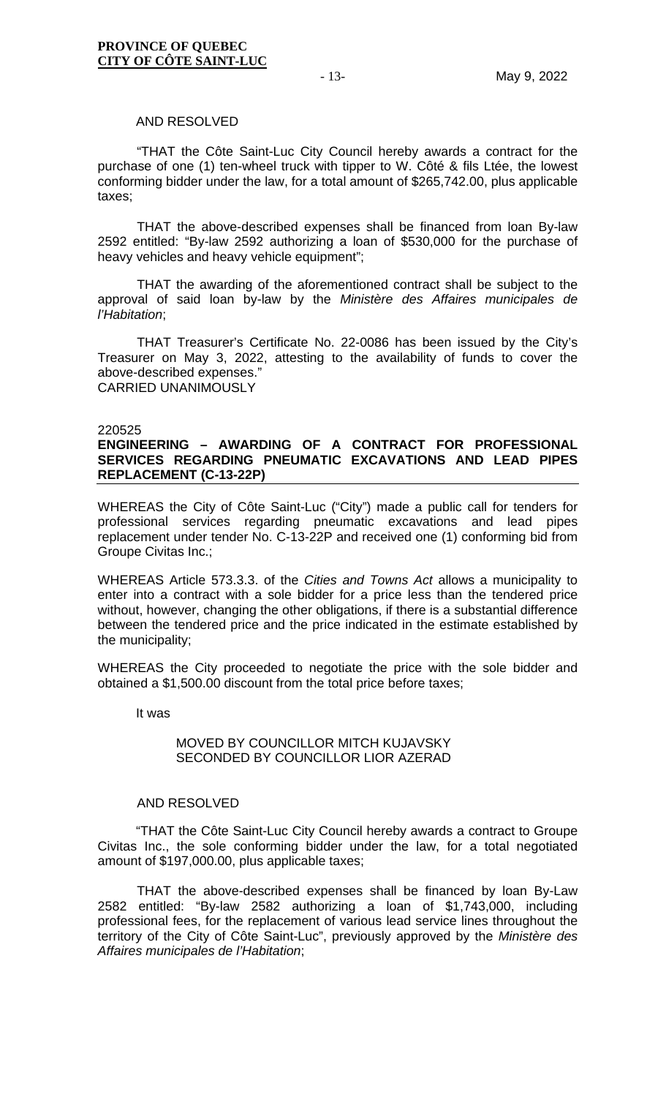#### AND RESOLVED

"THAT the Côte Saint-Luc City Council hereby awards a contract for the purchase of one (1) ten-wheel truck with tipper to W. Côté & fils Ltée, the lowest conforming bidder under the law, for a total amount of \$265,742.00, plus applicable taxes;

THAT the above-described expenses shall be financed from loan By-law 2592 entitled: "By-law 2592 authorizing a loan of \$530,000 for the purchase of heavy vehicles and heavy vehicle equipment";

THAT the awarding of the aforementioned contract shall be subject to the approval of said loan by-law by the *Ministère des Affaires municipales de l'Habitation*;

THAT Treasurer's Certificate No. 22-0086 has been issued by the City's Treasurer on May 3, 2022, attesting to the availability of funds to cover the above-described expenses." CARRIED UNANIMOUSLY

#### 220525

# **ENGINEERING – AWARDING OF A CONTRACT FOR PROFESSIONAL SERVICES REGARDING PNEUMATIC EXCAVATIONS AND LEAD PIPES REPLACEMENT (C-13-22P)**

WHEREAS the City of Côte Saint-Luc ("City") made a public call for tenders for professional services regarding pneumatic excavations and lead pipes replacement under tender No. C-13-22P and received one (1) conforming bid from Groupe Civitas Inc.;

WHEREAS Article 573.3.3. of the *Cities and Towns Act* allows a municipality to enter into a contract with a sole bidder for a price less than the tendered price without, however, changing the other obligations, if there is a substantial difference between the tendered price and the price indicated in the estimate established by the municipality;

WHEREAS the City proceeded to negotiate the price with the sole bidder and obtained a \$1,500.00 discount from the total price before taxes;

It was

#### MOVED BY COUNCILLOR MITCH KUJAVSKY SECONDED BY COUNCILLOR LIOR AZERAD

#### AND RESOLVED

"THAT the Côte Saint-Luc City Council hereby awards a contract to Groupe Civitas Inc., the sole conforming bidder under the law, for a total negotiated amount of \$197,000.00, plus applicable taxes;

THAT the above-described expenses shall be financed by loan By-Law 2582 entitled: "By-law 2582 authorizing a loan of \$1,743,000, including professional fees, for the replacement of various lead service lines throughout the territory of the City of Côte Saint-Luc", previously approved by the *Ministère des Affaires municipales de l'Habitation*;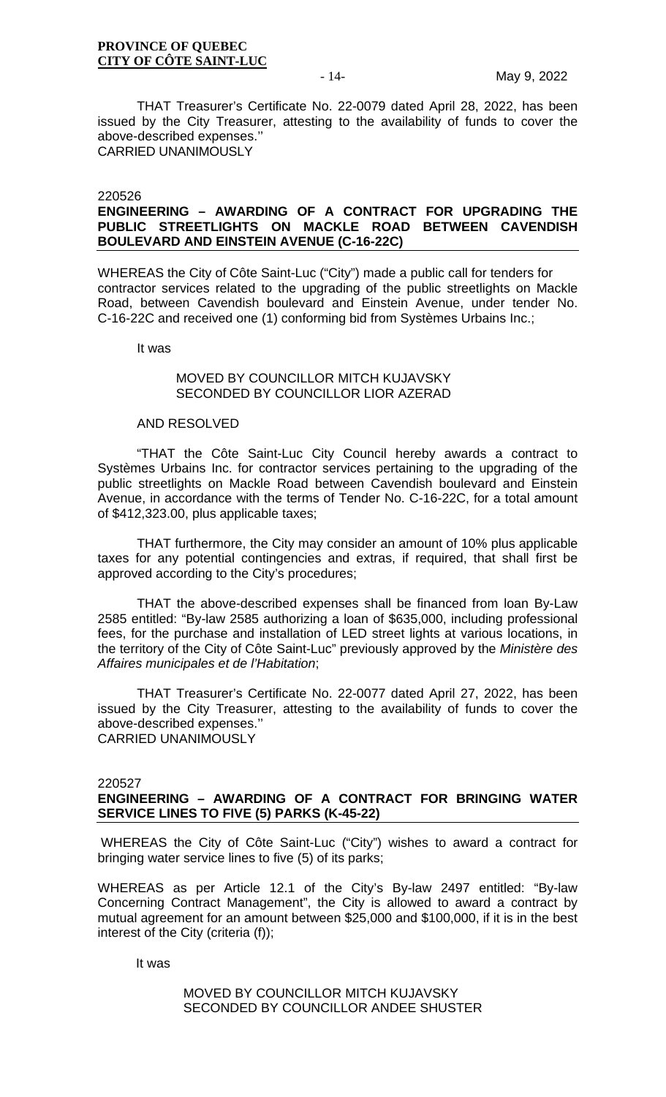THAT Treasurer's Certificate No. 22-0079 dated April 28, 2022, has been issued by the City Treasurer, attesting to the availability of funds to cover the above-described expenses.'' CARRIED UNANIMOUSLY

#### 220526

# **ENGINEERING – AWARDING OF A CONTRACT FOR UPGRADING THE PUBLIC STREETLIGHTS ON MACKLE ROAD BETWEEN CAVENDISH BOULEVARD AND EINSTEIN AVENUE (C-16-22C)**

WHEREAS the City of Côte Saint-Luc ("City") made a public call for tenders for contractor services related to the upgrading of the public streetlights on Mackle Road, between Cavendish boulevard and Einstein Avenue, under tender No. C-16-22C and received one (1) conforming bid from Systèmes Urbains Inc.;

It was

# MOVED BY COUNCILLOR MITCH KUJAVSKY SECONDED BY COUNCILLOR LIOR AZERAD

#### AND RESOLVED

"THAT the Côte Saint-Luc City Council hereby awards a contract to Systèmes Urbains Inc. for contractor services pertaining to the upgrading of the public streetlights on Mackle Road between Cavendish boulevard and Einstein Avenue, in accordance with the terms of Tender No. C-16-22C, for a total amount of \$412,323.00, plus applicable taxes;

THAT furthermore, the City may consider an amount of 10% plus applicable taxes for any potential contingencies and extras, if required, that shall first be approved according to the City's procedures;

THAT the above-described expenses shall be financed from loan By-Law 2585 entitled: "By-law 2585 authorizing a loan of \$635,000, including professional fees, for the purchase and installation of LED street lights at various locations, in the territory of the City of Côte Saint-Luc" previously approved by the *Ministère des Affaires municipales et de l'Habitation*;

THAT Treasurer's Certificate No. 22-0077 dated April 27, 2022, has been issued by the City Treasurer, attesting to the availability of funds to cover the above-described expenses.'' CARRIED UNANIMOUSLY

#### 220527

# **ENGINEERING – AWARDING OF A CONTRACT FOR BRINGING WATER SERVICE LINES TO FIVE (5) PARKS (K-45-22)**

WHEREAS the City of Côte Saint-Luc ("City") wishes to award a contract for bringing water service lines to five (5) of its parks;

WHEREAS as per Article 12.1 of the City's By-law 2497 entitled: "By-law Concerning Contract Management", the City is allowed to award a contract by mutual agreement for an amount between \$25,000 and \$100,000, if it is in the best interest of the City (criteria (f));

It was

# MOVED BY COUNCILLOR MITCH KUJAVSKY SECONDED BY COUNCILLOR ANDEE SHUSTER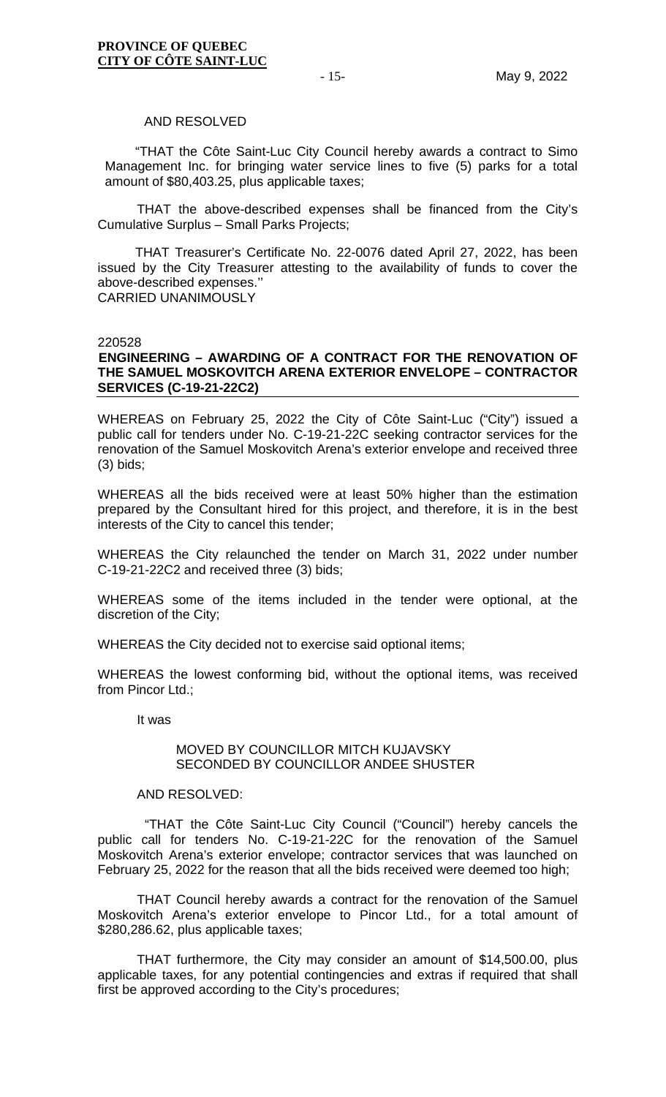#### AND RESOLVED

"THAT the Côte Saint-Luc City Council hereby awards a contract to Simo Management Inc. for bringing water service lines to five (5) parks for a total amount of \$80,403.25, plus applicable taxes;

THAT the above-described expenses shall be financed from the City's Cumulative Surplus – Small Parks Projects;

THAT Treasurer's Certificate No. 22-0076 dated April 27, 2022, has been issued by the City Treasurer attesting to the availability of funds to cover the above-described expenses.'' CARRIED UNANIMOUSLY

#### 220528

# **ENGINEERING – AWARDING OF A CONTRACT FOR THE RENOVATION OF THE SAMUEL MOSKOVITCH ARENA EXTERIOR ENVELOPE – CONTRACTOR SERVICES (C-19-21-22C2)**

WHEREAS on February 25, 2022 the City of Côte Saint-Luc ("City") issued a public call for tenders under No. C-19-21-22C seeking contractor services for the renovation of the Samuel Moskovitch Arena's exterior envelope and received three (3) bids;

WHEREAS all the bids received were at least 50% higher than the estimation prepared by the Consultant hired for this project, and therefore, it is in the best interests of the City to cancel this tender;

WHEREAS the City relaunched the tender on March 31, 2022 under number C-19-21-22C2 and received three (3) bids;

WHEREAS some of the items included in the tender were optional, at the discretion of the City;

WHEREAS the City decided not to exercise said optional items;

WHEREAS the lowest conforming bid, without the optional items, was received from Pincor Ltd.;

It was

#### MOVED BY COUNCILLOR MITCH KUJAVSKY SECONDED BY COUNCILLOR ANDEE SHUSTER

#### AND RESOLVED:

 "THAT the Côte Saint-Luc City Council ("Council") hereby cancels the public call for tenders No. C-19-21-22C for the renovation of the Samuel Moskovitch Arena's exterior envelope; contractor services that was launched on February 25, 2022 for the reason that all the bids received were deemed too high;

THAT Council hereby awards a contract for the renovation of the Samuel Moskovitch Arena's exterior envelope to Pincor Ltd., for a total amount of \$280,286.62, plus applicable taxes;

THAT furthermore, the City may consider an amount of \$14,500.00, plus applicable taxes, for any potential contingencies and extras if required that shall first be approved according to the City's procedures;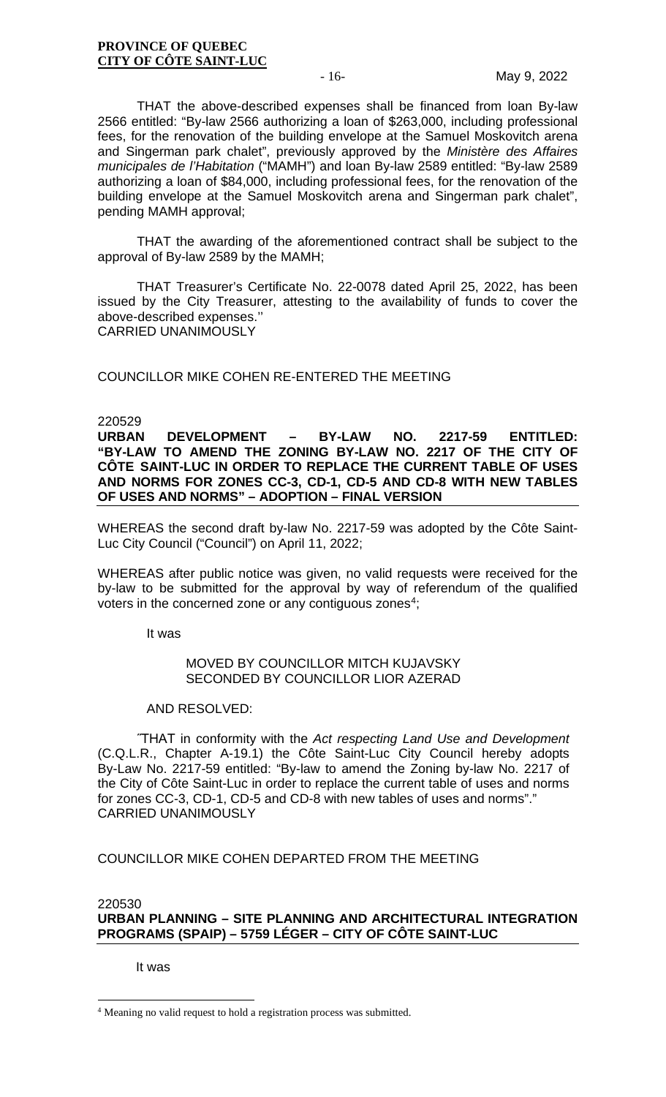THAT the above-described expenses shall be financed from loan By-law 2566 entitled: "By-law 2566 authorizing a loan of \$263,000, including professional fees, for the renovation of the building envelope at the Samuel Moskovitch arena and Singerman park chalet", previously approved by the *Ministère des Affaires municipales de l'Habitation* ("MAMH") and loan By-law 2589 entitled: "By-law 2589 authorizing a loan of \$84,000, including professional fees, for the renovation of the building envelope at the Samuel Moskovitch arena and Singerman park chalet", pending MAMH approval;

THAT the awarding of the aforementioned contract shall be subject to the approval of By-law 2589 by the MAMH;

THAT Treasurer's Certificate No. 22-0078 dated April 25, 2022, has been issued by the City Treasurer, attesting to the availability of funds to cover the above-described expenses.'' CARRIED UNANIMOUSLY

COUNCILLOR MIKE COHEN RE-ENTERED THE MEETING

# 220529<br>**URBAN**

**URBAN DEVELOPMENT – BY-LAW NO. 2217-59 ENTITLED: "BY-LAW TO AMEND THE ZONING BY-LAW NO. 2217 OF THE CITY OF CÔTE SAINT-LUC IN ORDER TO REPLACE THE CURRENT TABLE OF USES AND NORMS FOR ZONES CC-3, CD-1, CD-5 AND CD-8 WITH NEW TABLES OF USES AND NORMS" – ADOPTION – FINAL VERSION**

WHEREAS the second draft by-law No. 2217-59 was adopted by the Côte Saint-Luc City Council ("Council") on April 11, 2022;

WHEREAS after public notice was given, no valid requests were received for the by-law to be submitted for the approval by way of referendum of the qualified voters in the concerned zone or any contiguous zones<sup>[4](#page-15-0)</sup>;

It was

# MOVED BY COUNCILLOR MITCH KUJAVSKY SECONDED BY COUNCILLOR LIOR AZERAD

#### AND RESOLVED:

˝THAT in conformity with the *Act respecting Land Use and Development*  (C.Q.L.R., Chapter A-19.1) the Côte Saint-Luc City Council hereby adopts By-Law No. 2217-59 entitled: "By-law to amend the Zoning by-law No. 2217 of the City of Côte Saint-Luc in order to replace the current table of uses and norms for zones CC-3, CD-1, CD-5 and CD-8 with new tables of uses and norms"." CARRIED UNANIMOUSLY

# COUNCILLOR MIKE COHEN DEPARTED FROM THE MEETING

220530 **URBAN PLANNING – SITE PLANNING AND ARCHITECTURAL INTEGRATION PROGRAMS (SPAIP) – 5759 LÉGER – CITY OF CÔTE SAINT-LUC**

It was

<span id="page-15-0"></span><sup>4</sup> Meaning no valid request to hold a registration process was submitted.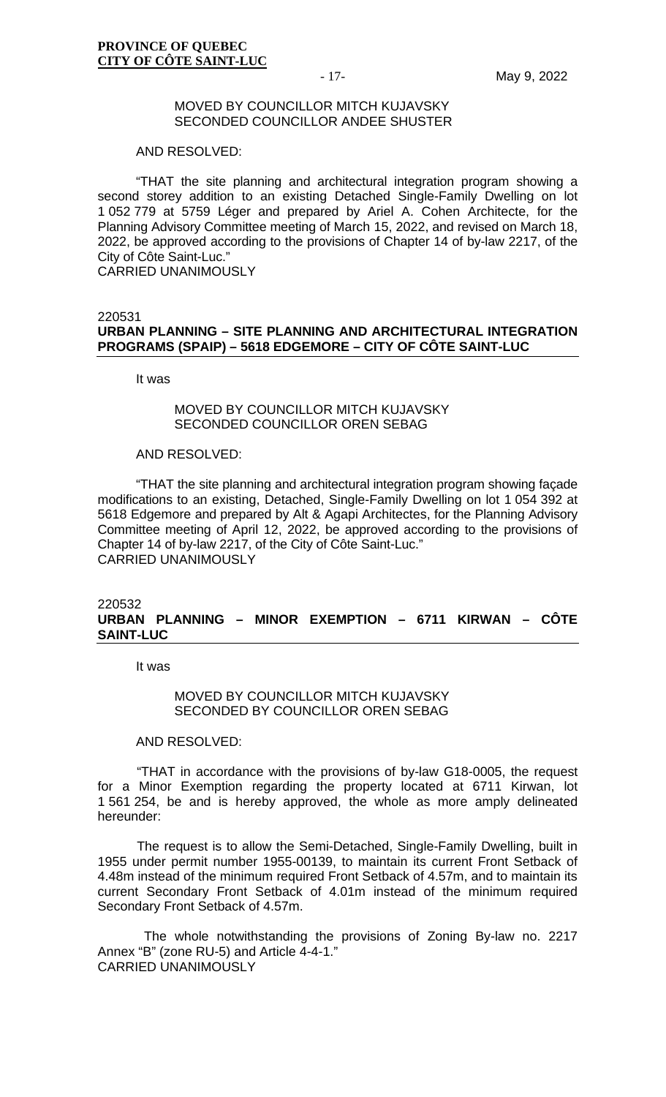#### MOVED BY COUNCILLOR MITCH KUJAVSKY SECONDED COUNCILLOR ANDEE SHUSTER

#### AND RESOLVED:

"THAT the site planning and architectural integration program showing a second storey addition to an existing Detached Single-Family Dwelling on lot 1 052 779 at 5759 Léger and prepared by Ariel A. Cohen Architecte, for the Planning Advisory Committee meeting of March 15, 2022, and revised on March 18, 2022, be approved according to the provisions of Chapter 14 of by-law 2217, of the City of Côte Saint-Luc."

CARRIED UNANIMOUSLY

220531

# **URBAN PLANNING – SITE PLANNING AND ARCHITECTURAL INTEGRATION PROGRAMS (SPAIP) – 5618 EDGEMORE – CITY OF CÔTE SAINT-LUC**

It was

#### MOVED BY COUNCILLOR MITCH KUJAVSKY SECONDED COUNCILLOR OREN SEBAG

#### AND RESOLVED:

"THAT the site planning and architectural integration program showing façade modifications to an existing, Detached, Single-Family Dwelling on lot 1 054 392 at 5618 Edgemore and prepared by Alt & Agapi Architectes, for the Planning Advisory Committee meeting of April 12, 2022, be approved according to the provisions of Chapter 14 of by-law 2217, of the City of Côte Saint-Luc." CARRIED UNANIMOUSLY

#### 220532 **URBAN PLANNING – MINOR EXEMPTION – 6711 KIRWAN – CÔTE SAINT-LUC**

It was

# MOVED BY COUNCILLOR MITCH KUJAVSKY SECONDED BY COUNCILLOR OREN SEBAG

AND RESOLVED:

"THAT in accordance with the provisions of by-law G18-0005, the request for a Minor Exemption regarding the property located at 6711 Kirwan, lot 1 561 254, be and is hereby approved, the whole as more amply delineated hereunder:

The request is to allow the Semi-Detached, Single-Family Dwelling, built in 1955 under permit number 1955-00139, to maintain its current Front Setback of 4.48m instead of the minimum required Front Setback of 4.57m, and to maintain its current Secondary Front Setback of 4.01m instead of the minimum required Secondary Front Setback of 4.57m.

The whole notwithstanding the provisions of Zoning By-law no. 2217 Annex "B" (zone RU-5) and Article 4-4-1.' CARRIED UNANIMOUSLY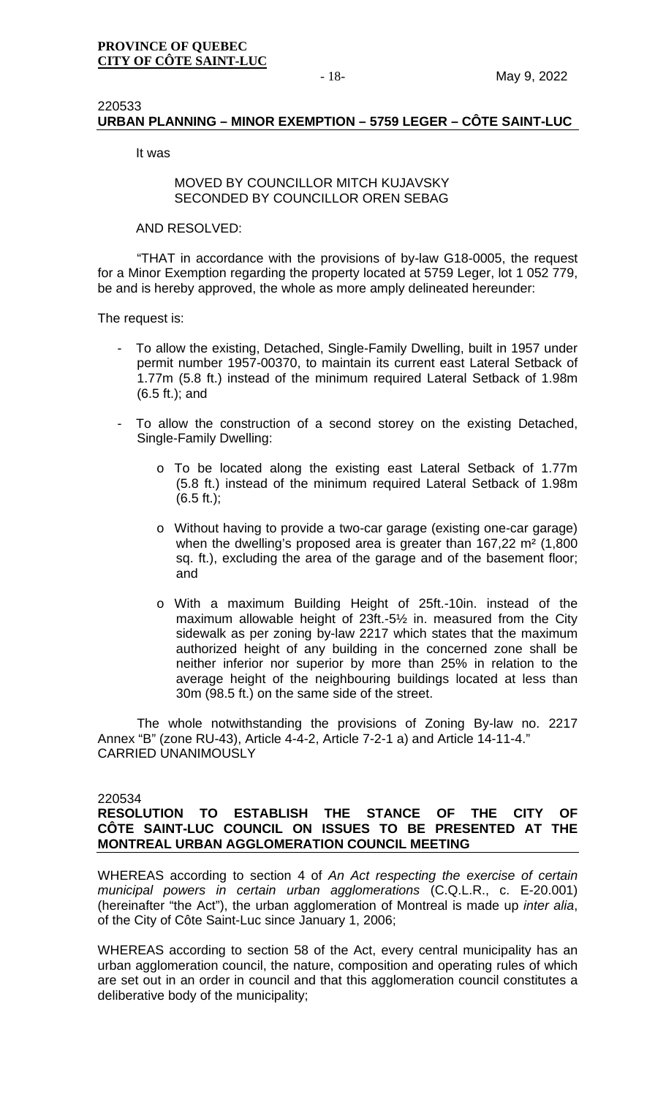# 220533 **URBAN PLANNING – MINOR EXEMPTION – 5759 LEGER – CÔTE SAINT-LUC**

It was

#### MOVED BY COUNCILLOR MITCH KUJAVSKY SECONDED BY COUNCILLOR OREN SEBAG

AND RESOLVED:

"THAT in accordance with the provisions of by-law G18-0005, the request for a Minor Exemption regarding the property located at 5759 Leger, lot 1 052 779, be and is hereby approved, the whole as more amply delineated hereunder:

The request is:

- To allow the existing, Detached, Single-Family Dwelling, built in 1957 under permit number 1957-00370, to maintain its current east Lateral Setback of 1.77m (5.8 ft.) instead of the minimum required Lateral Setback of 1.98m (6.5 ft.); and
- To allow the construction of a second storey on the existing Detached, Single-Family Dwelling:
	- o To be located along the existing east Lateral Setback of 1.77m (5.8 ft.) instead of the minimum required Lateral Setback of 1.98m  $(6.5 ft.)$ ;
	- o Without having to provide a two-car garage (existing one-car garage) when the dwelling's proposed area is greater than 167,22 m² (1,800 sq. ft.), excluding the area of the garage and of the basement floor; and
	- o With a maximum Building Height of 25ft.-10in. instead of the maximum allowable height of 23ft.-5½ in. measured from the City sidewalk as per zoning by-law 2217 which states that the maximum authorized height of any building in the concerned zone shall be neither inferior nor superior by more than 25% in relation to the average height of the neighbouring buildings located at less than 30m (98.5 ft.) on the same side of the street.

The whole notwithstanding the provisions of Zoning By-law no. 2217 Annex "B" (zone RU-43), Article 4-4-2, Article 7-2-1 a) and Article 14-11-4." CARRIED UNANIMOUSLY

220534

# **RESOLUTION TO ESTABLISH THE STANCE OF THE CITY OF CÔTE SAINT-LUC COUNCIL ON ISSUES TO BE PRESENTED AT THE MONTREAL URBAN AGGLOMERATION COUNCIL MEETING**

WHEREAS according to section 4 of *An Act respecting the exercise of certain municipal powers in certain urban agglomerations* (C.Q.L.R., c. E-20.001) (hereinafter "the Act"), the urban agglomeration of Montreal is made up *inter alia*, of the City of Côte Saint-Luc since January 1, 2006;

WHEREAS according to section 58 of the Act, every central municipality has an urban agglomeration council, the nature, composition and operating rules of which are set out in an order in council and that this agglomeration council constitutes a deliberative body of the municipality;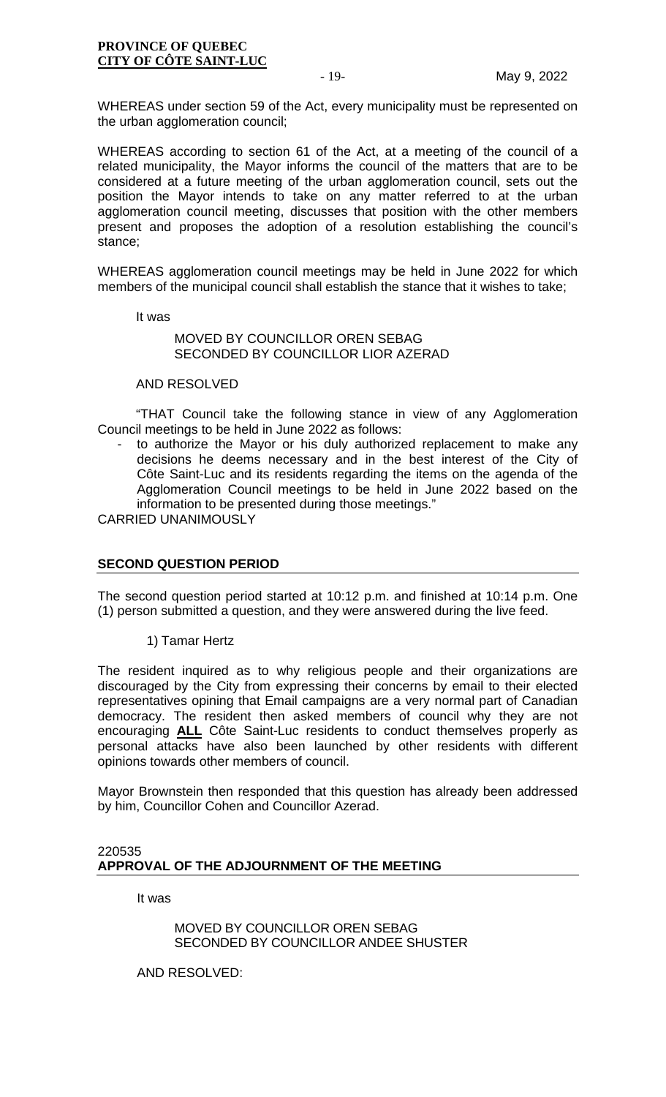WHEREAS under section 59 of the Act, every municipality must be represented on the urban agglomeration council;

WHEREAS according to section 61 of the Act, at a meeting of the council of a related municipality, the Mayor informs the council of the matters that are to be considered at a future meeting of the urban agglomeration council, sets out the position the Mayor intends to take on any matter referred to at the urban agglomeration council meeting, discusses that position with the other members present and proposes the adoption of a resolution establishing the council's stance;

WHEREAS agglomeration council meetings may be held in June 2022 for which members of the municipal council shall establish the stance that it wishes to take;

It was

# MOVED BY COUNCILLOR OREN SEBAG SECONDED BY COUNCILLOR LIOR AZERAD

#### AND RESOLVED

"THAT Council take the following stance in view of any Agglomeration Council meetings to be held in June 2022 as follows:

to authorize the Mayor or his duly authorized replacement to make any decisions he deems necessary and in the best interest of the City of Côte Saint-Luc and its residents regarding the items on the agenda of the Agglomeration Council meetings to be held in June 2022 based on the information to be presented during those meetings."

CARRIED UNANIMOUSLY

# **SECOND QUESTION PERIOD**

The second question period started at 10:12 p.m. and finished at 10:14 p.m. One (1) person submitted a question, and they were answered during the live feed.

1) Tamar Hertz

The resident inquired as to why religious people and their organizations are discouraged by the City from expressing their concerns by email to their elected representatives opining that Email campaigns are a very normal part of Canadian democracy. The resident then asked members of council why they are not encouraging **ALL** Côte Saint-Luc residents to conduct themselves properly as personal attacks have also been launched by other residents with different opinions towards other members of council.

Mayor Brownstein then responded that this question has already been addressed by him, Councillor Cohen and Councillor Azerad.

# 220535 **APPROVAL OF THE ADJOURNMENT OF THE MEETING**

It was

MOVED BY COUNCILLOR OREN SEBAG SECONDED BY COUNCILLOR ANDEE SHUSTER

AND RESOLVED: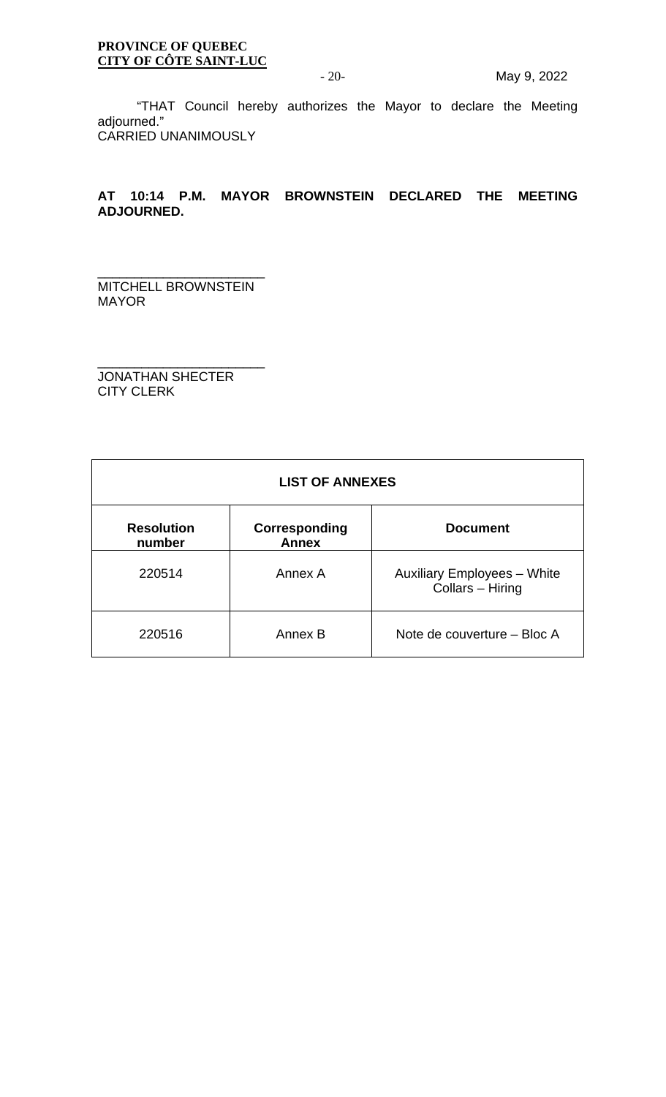"THAT Council hereby authorizes the Mayor to declare the Meeting adjourned." CARRIED UNANIMOUSLY

# **AT 10:14 P.M. MAYOR BROWNSTEIN DECLARED THE MEETING ADJOURNED.**

\_\_\_\_\_\_\_\_\_\_\_\_\_\_\_\_\_\_\_\_\_\_\_ MITCHELL BROWNSTEIN MAYOR

\_\_\_\_\_\_\_\_\_\_\_\_\_\_\_\_\_\_\_\_\_\_\_ JONATHAN SHECTER CITY CLERK

| <b>LIST OF ANNEXES</b>      |                               |                                                        |  |  |  |  |
|-----------------------------|-------------------------------|--------------------------------------------------------|--|--|--|--|
| <b>Resolution</b><br>number | Corresponding<br><b>Annex</b> | <b>Document</b>                                        |  |  |  |  |
| 220514                      | Annex A                       | <b>Auxiliary Employees - White</b><br>Collars - Hiring |  |  |  |  |
| 220516                      | Annex B                       | Note de couverture – Bloc A                            |  |  |  |  |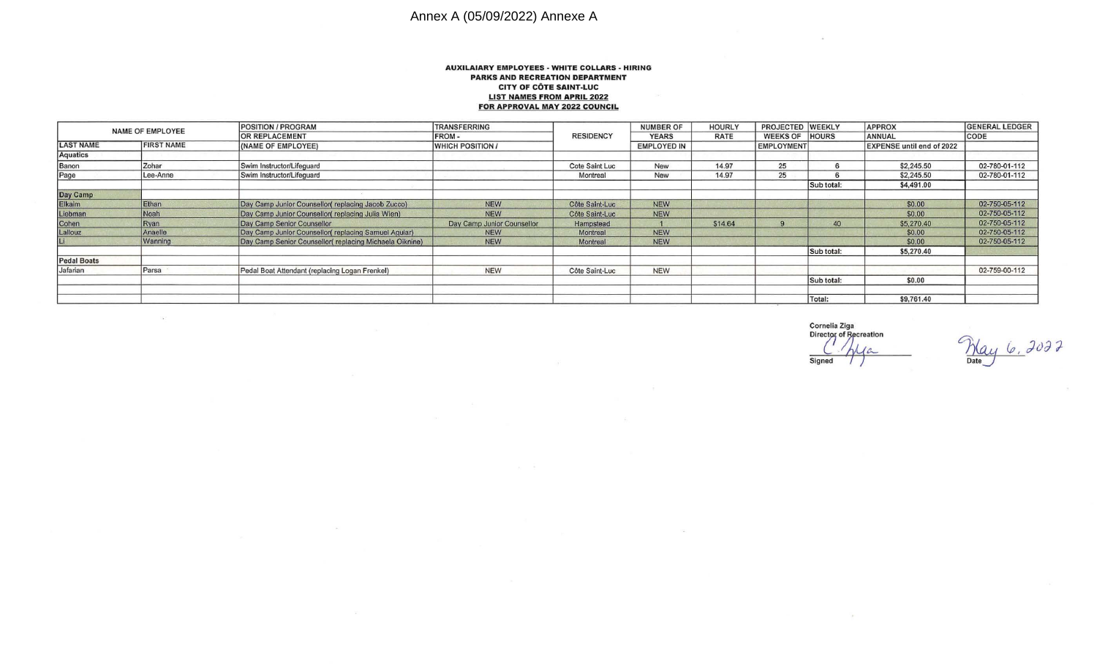# Annex A (05/09/2022) Annexe A

 $\alpha$ 

 $\mathcal{P}_1$ 

#### **AUXILAIARY EMPLOYEES · WHITE COLLARS · HI RING PARKS AND RECREATION DEPARTMENT CITY OF COTE SAINT-LUC LIST NAMES FROM APRIL** 2022 **FOR APPROVAL MAY** 2022 **COUNCIL**

| <b>NAME OF EMPLOYEE</b> |                   | <b>POSITION / PROGRAM</b>                              | <b>TRANSFERRING</b>        | <b>RESIDENCY</b> | <b>NUMBER OF</b>   | <b>HOURLY</b> | PROJECTED WEEKLY  |              | <b>APPROX</b>                    | <b>GENERAL LEDGER</b> |
|-------------------------|-------------------|--------------------------------------------------------|----------------------------|------------------|--------------------|---------------|-------------------|--------------|----------------------------------|-----------------------|
|                         |                   | <b>OR REPLACEMENT</b>                                  | <b>FROM-</b>               |                  | <b>YEARS</b>       | <b>RATE</b>   | WEEKS OF HOURS    |              | <b>ANNUAL</b>                    | CODE                  |
| <b>LAST NAME</b>        | <b>FIRST NAME</b> | (NAME OF EMPLOYEE)                                     | <b>WHICH POSITION /</b>    |                  | <b>EMPLOYED IN</b> |               | <b>EMPLOYMENT</b> |              | <b>EXPENSE until end of 2022</b> |                       |
| <b>Aquatics</b>         |                   |                                                        |                            |                  |                    |               |                   |              |                                  |                       |
| Banon                   | Zohar             | Swim Instructor/Lifeguard                              |                            | Cote Saint Luc   | <b>New</b>         | 14.97         | 25                | $\mathbf{r}$ | \$2,245.50                       | 02-780-01-112         |
| Page                    | Lee-Anne          | Swim Instructor/Lifequard                              |                            | Montreal         | <b>New</b>         | 14.97         | 25                |              | \$2,245.50                       | 02-780-01-112         |
|                         |                   |                                                        |                            |                  |                    |               |                   | Sub total:   | \$4,491.00                       |                       |
| Day Camp                |                   |                                                        |                            |                  |                    |               |                   |              |                                  |                       |
| Elkaim                  | Ethan             | Day Camp Junior Counsellor(replacing Jacob Zucco)      | <b>NEW</b>                 | Côte Saint-Luc   | <b>NEW</b>         |               |                   |              | \$0.00                           | 02-750-05-112         |
| Liebman                 | Noah              | Day Camp Junior Counsellor(replacing Julia Wien)       | <b>NEW</b>                 | Côte Saint-Luc   | <b>NEW</b>         |               |                   |              | \$0.00                           | 02-750-05-112         |
| Cohen                   | Ryan              | Day Camp Senior Counsellor                             | Day Camp Junior Counsellor | Hampstead        |                    | \$14.64       |                   | 40           | \$5,270.40                       | 02-750-05-112         |
| Lallouz                 | Anaelle           | Day Camp Junior Counsellor(replacing Samuel Aquiar)    | <b>NEW</b>                 | Montreal         | <b>NEW</b>         |               |                   |              | \$0.00                           | 02-750-05-112         |
|                         | Wanning           | Day Camp Senior Counsellor(replacing Michaela Oiknine) | <b>NEW</b>                 | Montreal         | <b>NEW</b>         |               |                   |              | \$0.00                           | 02-750-05-112         |
|                         |                   |                                                        |                            |                  |                    |               |                   | Sub total:   | \$5,270.40                       |                       |
| <b>Pedal Boats</b>      |                   |                                                        |                            |                  |                    |               |                   |              |                                  |                       |
| Jafarian                | Parsa             | Pedal Boat Attendant (replacing Logan Frenkel)         | <b>NEW</b>                 | Côte Saint-Luc   | <b>NEW</b>         |               |                   |              |                                  | 02-759-00-112         |
|                         |                   |                                                        |                            |                  |                    |               |                   | Sub total:   | \$0.00                           |                       |
|                         |                   |                                                        |                            |                  |                    |               |                   | Total:       | \$9,761.40                       |                       |

Cornelia Ziga<br>Director of Recreation Signed

 $\langle \Psi \rangle$ 

May 6, 2022